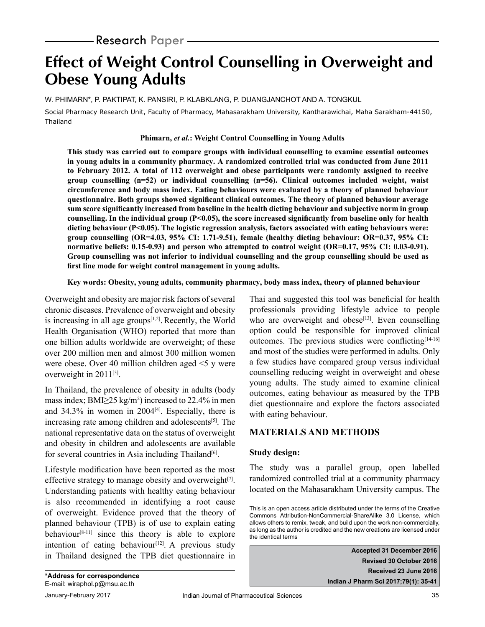# **Effect of Weight Control Counselling in Overweight and Obese Young Adults**

W. PHIMARN\*, P. PAKTIPAT, K. PANSIRI, P. KLABKLANG, P. DUANGJANCHOT AND A. TONGKUL

Social Pharmacy Research Unit, Faculty of Pharmacy, Mahasarakham University, Kantharawichai, Maha Sarakham-44150, Thailand

#### **Phimarn,** *et al.***: Weight Control Counselling in Young Adults**

**This study was carried out to compare groups with individual counselling to examine essential outcomes in young adults in a community pharmacy. A randomized controlled trial was conducted from June 2011 to February 2012. A total of 112 overweight and obese participants were randomly assigned to receive group counselling (n=52) or individual counselling (n=56). Clinical outcomes included weight, waist circumference and body mass index. Eating behaviours were evaluated by a theory of planned behaviour questionnaire. Both groups showed significant clinical outcomes. The theory of planned behaviour average sum score significantly increased from baseline in the health dieting behaviour and subjective norm in group counselling. In the individual group (P<0.05), the score increased significantly from baseline only for health dieting behaviour (P<0.05). The logistic regression analysis, factors associated with eating behaviours were: group counselling (OR=4.03, 95% CI: 1.71-9.51), female (healthy dieting behaviour: OR=0.37, 95% CI: normative beliefs: 0.15-0.93) and person who attempted to control weight (OR=0.17, 95% CI: 0.03-0.91). Group counselling was not inferior to individual counselling and the group counselling should be used as first line mode for weight control management in young adults.** 

#### **Key words: Obesity, young adults, community pharmacy, body mass index, theory of planned behaviour**

Overweight and obesity are major risk factors of several chronic diseases. Prevalence of overweight and obesity is increasing in all age groups $[1,2]$ . Recently, the World Health Organisation (WHO) reported that more than one billion adults worldwide are overweight; of these over 200 million men and almost 300 million women were obese. Over 40 million children aged <5 y were overweight in 2011<sup>[3]</sup>.

In Thailand, the prevalence of obesity in adults (body mass index;  $BMI \geq 25 \text{ kg/m}^2$ ) increased to 22.4% in men and  $34.3\%$  in women in  $2004^{[4]}$ . Especially, there is increasing rate among children and adolescents $[5]$ . The national representative data on the status of overweight and obesity in children and adolescents are available for several countries in Asia including Thailand<sup>[6]</sup>.

Lifestyle modification have been reported as the most effective strategy to manage obesity and overweight $[7]$ . Understanding patients with healthy eating behaviour is also recommended in identifying a root cause of overweight. Evidence proved that the theory of planned behaviour (TPB) is of use to explain eating behaviour<sup>[8-11]</sup> since this theory is able to explore intention of eating behaviour<sup>[12]</sup>. A previous study in Thailand designed the TPB diet questionnaire in

Thai and suggested this tool was beneficial for health professionals providing lifestyle advice to people who are overweight and obese $[13]$ . Even counselling option could be responsible for improved clinical outcomes. The previous studies were conflicting<sup>[14-16]</sup> and most of the studies were performed in adults. Only a few studies have compared group versus individual counselling reducing weight in overweight and obese young adults. The study aimed to examine clinical outcomes, eating behaviour as measured by the TPB diet questionnaire and explore the factors associated with eating behaviour.

## **MATERIALS AND METHODS**

## **Study design:**

The study was a parallel group, open labelled randomized controlled trial at a community pharmacy located on the Mahasarakham University campus. The

**Accepted 31 December 2016 Revised 30 October 2016 Received 23 June 2016 Indian J Pharm Sci 2017;79(1): 35-41**

This is an open access article distributed under the terms of the Creative Commons Attribution-NonCommercial-ShareAlike 3.0 License, which allows others to remix, tweak, and build upon the work non-commercially, as long as the author is credited and the new creations are licensed under the identical terms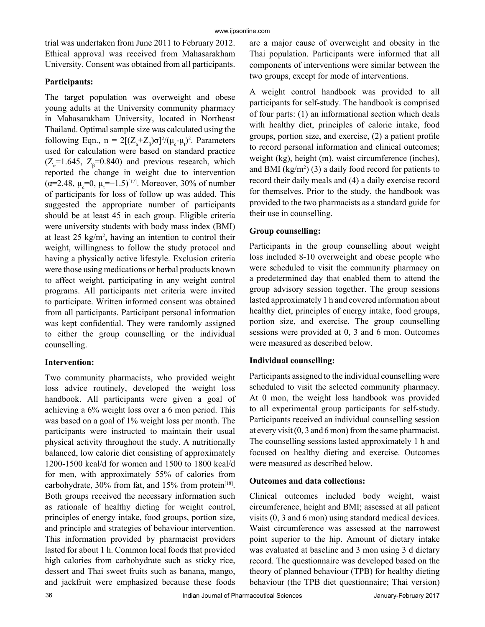trial was undertaken from June 2011 to February 2012. Ethical approval was received from Mahasarakham University. Consent was obtained from all participants.

## **Participants:**

The target population was overweight and obese young adults at the University community pharmacy in Mahasarakham University, located in Northeast Thailand. Optimal sample size was calculated using the following Eqn.,  $n = 2[(Z_{\alpha}+Z_{\beta})\sigma]^2/(\mu_c-\mu_t)^2$ . Parameters used for calculation were based on standard practice  $(Z_{\alpha} = 1.645, Z_{\beta} = 0.840)$  and previous research, which reported the change in weight due to intervention ( $\alpha$ =2.48,  $\mu_{\rm c}$ =0,  $\mu_{\rm t}$ =-1.5)<sup>[17]</sup>. Moreover, 30% of number of participants for loss of follow up was added. This suggested the appropriate number of participants should be at least 45 in each group. Eligible criteria were university students with body mass index (BMI) at least 25 kg/m<sup>2</sup> , having an intention to control their weight, willingness to follow the study protocol and having a physically active lifestyle. Exclusion criteria were those using medications or herbal products known to affect weight, participating in any weight control programs. All participants met criteria were invited to participate. Written informed consent was obtained from all participants. Participant personal information was kept confidential. They were randomly assigned to either the group counselling or the individual counselling.

## **Intervention:**

Two community pharmacists, who provided weight loss advice routinely, developed the weight loss handbook. All participants were given a goal of achieving a 6% weight loss over a 6 mon period. This was based on a goal of 1% weight loss per month. The participants were instructed to maintain their usual physical activity throughout the study. A nutritionally balanced, low calorie diet consisting of approximately 1200-1500 kcal/d for women and 1500 to 1800 kcal/d for men, with approximately 55% of calories from carbohydrate,  $30\%$  from fat, and  $15\%$  from protein<sup>[18]</sup>. Both groups received the necessary information such as rationale of healthy dieting for weight control, principles of energy intake, food groups, portion size, and principle and strategies of behaviour intervention. This information provided by pharmacist providers lasted for about 1 h. Common local foods that provided high calories from carbohydrate such as sticky rice, dessert and Thai sweet fruits such as banana, mango, and jackfruit were emphasized because these foods

are a major cause of overweight and obesity in the Thai population. Participants were informed that all components of interventions were similar between the two groups, except for mode of interventions.

A weight control handbook was provided to all participants for self-study. The handbook is comprised of four parts: (1) an informational section which deals with healthy diet, principles of calorie intake, food groups, portion size, and exercise, (2) a patient profile to record personal information and clinical outcomes; weight (kg), height (m), waist circumference (inches), and BMI  $(kg/m^2)$  (3) a daily food record for patients to record their daily meals and (4) a daily exercise record for themselves. Prior to the study, the handbook was provided to the two pharmacists as a standard guide for their use in counselling.

## **Group counselling:**

Participants in the group counselling about weight loss included 8-10 overweight and obese people who were scheduled to visit the community pharmacy on a predetermined day that enabled them to attend the group advisory session together. The group sessions lasted approximately 1 h and covered information about healthy diet, principles of energy intake, food groups, portion size, and exercise. The group counselling sessions were provided at 0, 3 and 6 mon. Outcomes were measured as described below.

## **Individual counselling:**

Participants assigned to the individual counselling were scheduled to visit the selected community pharmacy. At 0 mon, the weight loss handbook was provided to all experimental group participants for self-study. Participants received an individual counselling session at every visit (0, 3 and 6 mon) from the same pharmacist. The counselling sessions lasted approximately 1 h and focused on healthy dieting and exercise. Outcomes were measured as described below.

#### **Outcomes and data collections:**

Clinical outcomes included body weight, waist circumference, height and BMI; assessed at all patient visits (0, 3 and 6 mon) using standard medical devices. Waist circumference was assessed at the narrowest point superior to the hip. Amount of dietary intake was evaluated at baseline and 3 mon using 3 d dietary record. The questionnaire was developed based on the theory of planned behaviour (TPB) for healthy dieting behaviour (the TPB diet questionnaire; Thai version)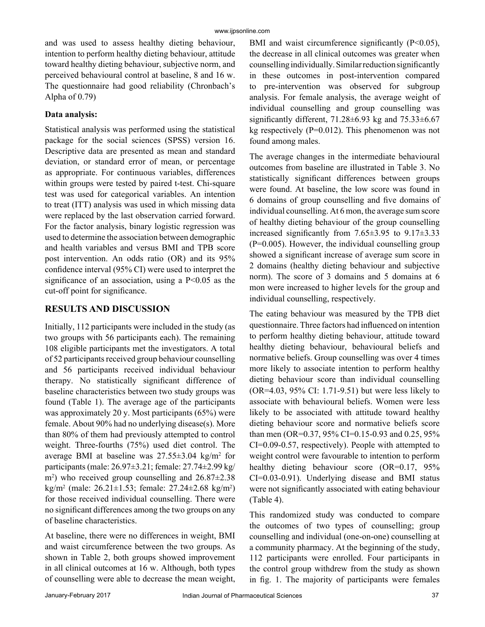and was used to assess healthy dieting behaviour, intention to perform healthy dieting behaviour, attitude toward healthy dieting behaviour, subjective norm, and perceived behavioural control at baseline, 8 and 16 w. The questionnaire had good reliability (Chronbach's Alpha of 0.79)

## **Data analysis:**

Statistical analysis was performed using the statistical package for the social sciences (SPSS) version 16. Descriptive data are presented as mean and standard deviation, or standard error of mean, or percentage as appropriate. For continuous variables, differences within groups were tested by paired t-test. Chi-square test was used for categorical variables. An intention to treat (ITT) analysis was used in which missing data were replaced by the last observation carried forward. For the factor analysis, binary logistic regression was used to determine the association between demographic and health variables and versus BMI and TPB score post intervention. An odds ratio (OR) and its 95% confidence interval (95% CI) were used to interpret the significance of an association, using a  $P<0.05$  as the cut-off point for significance.

# **RESULTS AND DISCUSSION**

Initially, 112 participants were included in the study (as two groups with 56 participants each). The remaining 108 eligible participants met the investigators. A total of 52 participants received group behaviour counselling and 56 participants received individual behaviour therapy. No statistically significant difference of baseline characteristics between two study groups was found (Table 1). The average age of the participants was approximately 20 y. Most participants (65%) were female. About 90% had no underlying disease(s). More than 80% of them had previously attempted to control weight. Three-fourths (75%) used diet control. The average BMI at baseline was  $27.55 \pm 3.04$  kg/m<sup>2</sup> for participants (male: 26.97±3.21; female: 27.74±2.99 kg/ m2 ) who received group counselling and 26.87±2.38 kg/m<sup>2</sup> (male: 26.21±1.53; female: 27.24±2.68 kg/m<sup>2</sup> ) for those received individual counselling. There were no significant differences among the two groups on any of baseline characteristics.

At baseline, there were no differences in weight, BMI and waist circumference between the two groups. As shown in Table 2, both groups showed improvement in all clinical outcomes at 16 w. Although, both types of counselling were able to decrease the mean weight, BMI and waist circumference significantly (P<0.05), the decrease in all clinical outcomes was greater when counselling individually. Similar reduction significantly in these outcomes in post-intervention compared to pre-intervention was observed for subgroup analysis. For female analysis, the average weight of individual counselling and group counselling was significantly different,  $71.28 \pm 6.93$  kg and  $75.33 \pm 6.67$ kg respectively  $(P=0.012)$ . This phenomenon was not found among males.

The average changes in the intermediate behavioural outcomes from baseline are illustrated in Table 3. No statistically significant differences between groups were found. At baseline, the low score was found in 6 domains of group counselling and five domains of individual counselling. At 6 mon, the average sum score of healthy dieting behaviour of the group counselling increased significantly from 7.65±3.95 to 9.17±3.33 (P=0.005). However, the individual counselling group showed a significant increase of average sum score in 2 domains (healthy dieting behaviour and subjective norm). The score of 3 domains and 5 domains at 6 mon were increased to higher levels for the group and individual counselling, respectively.

The eating behaviour was measured by the TPB diet questionnaire. Three factors had influenced on intention to perform healthy dieting behaviour, attitude toward healthy dieting behaviour, behavioural beliefs and normative beliefs. Group counselling was over 4 times more likely to associate intention to perform healthy dieting behaviour score than individual counselling (OR=4.03, 95% CI: 1.71-9.51) but were less likely to associate with behavioural beliefs. Women were less likely to be associated with attitude toward healthy dieting behaviour score and normative beliefs score than men (OR=0.37, 95% CI=0.15-0.93 and 0.25, 95% CI=0.09-0.57, respectively). People with attempted to weight control were favourable to intention to perform healthy dieting behaviour score (OR=0.17, 95%) CI=0.03-0.91). Underlying disease and BMI status were not significantly associated with eating behaviour (Table 4).

This randomized study was conducted to compare the outcomes of two types of counselling; group counselling and individual (one-on-one) counselling at a community pharmacy. At the beginning of the study, 112 participants were enrolled. Four participants in the control group withdrew from the study as shown in fig. 1. The majority of participants were females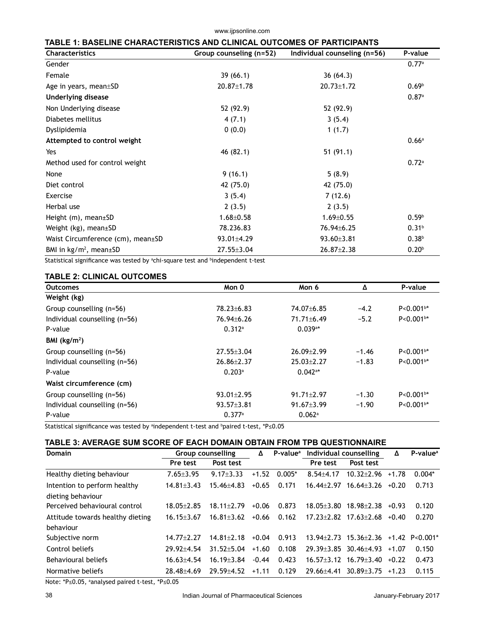www.ijpsonline.com

| <b>Characteristics</b>            | Group counseling (n=52) | Individual counseling (n=56) | P-value           |
|-----------------------------------|-------------------------|------------------------------|-------------------|
| Gender                            |                         |                              | 0.77a             |
| Female                            | 39(66.1)                | 36(64.3)                     |                   |
| Age in years, mean±SD             | $20.87 \pm 1.78$        | $20.73 \pm 1.72$             | 0.69 <sup>b</sup> |
| Underlying disease                |                         |                              | 0.87a             |
| Non Underlying disease            | 52 (92.9)               | 52 (92.9)                    |                   |
| Diabetes mellitus                 | 4(7.1)                  | 3(5.4)                       |                   |
| Dyslipidemia                      | 0(0.0)                  | 1(1.7)                       |                   |
| Attempted to control weight       |                         |                              | 0.66a             |
| Yes                               | 46 (82.1)               | 51(91.1)                     |                   |
| Method used for control weight    |                         |                              | 0.72a             |
| None                              | 9(16.1)                 | 5(8.9)                       |                   |
| Diet control                      | 42 (75.0)               | 42 (75.0)                    |                   |
| Exercise                          | 3(5.4)                  | 7(12.6)                      |                   |
| Herbal use                        | 2(3.5)                  | 2(3.5)                       |                   |
| Height $(m)$ , mean $\pm$ SD      | $1.68 \pm 0.58$         | $1.69 \pm 0.55$              | 0.59 <sup>b</sup> |
| Weight $(kg)$ , mean $\pm$ SD     | 78.236.83               | 76.94±6.25                   | 0.31 <sup>b</sup> |
| Waist Circumference (cm), mean±SD | 93.01±4.29              | $93.60 \pm 3.81$             | 0.38 <sup>b</sup> |
| BMI in $kg/m^2$ , mean $\pm$ SD   | $27.55 \pm 3.04$        | $26.87 \pm 2.38$             | 0.20 <sup>b</sup> |

Statistical significance was tested by <sup>a</sup>chi-square test and <sup>b</sup>independent t-test

## **TABLE 2: CLINICAL OUTCOMES**

| <b>Outcomes</b>               | Mon 0            | Mon 6                 | Δ       | P-value       |  |
|-------------------------------|------------------|-----------------------|---------|---------------|--|
| Weight (kg)                   |                  |                       |         |               |  |
| Group counselling (n=56)      | 78.23±6.83       | 74.07 ± 6.85          | $-4.2$  | $P < 0.001b*$ |  |
| Individual counselling (n=56) | $76.94 \pm 6.26$ | $71.71 \pm 6.49$      | $-5.2$  | $P < 0.001b*$ |  |
| P-value                       | 0.312a           | $0.039$ <sup>a*</sup> |         |               |  |
| BMI $(kg/m2)$                 |                  |                       |         |               |  |
| Group counselling (n=56)      | $27.55 \pm 3.04$ | $26.09 \pm 2.99$      | $-1.46$ | $P < 0.001b*$ |  |
| Individual counselling (n=56) | $26.86 \pm 2.37$ | $25.03 \pm 2.27$      | $-1.83$ | $P < 0.001b*$ |  |
| P-value                       | 0.203a           | $0.042$ <sup>a*</sup> |         |               |  |
| Waist circumference (cm)      |                  |                       |         |               |  |
| Group counselling (n=56)      | $93.01 \pm 2.95$ | $91.71 \pm 2.97$      | $-1.30$ | $P < 0.001b*$ |  |
| Individual counselling (n=56) | $93.57 \pm 3.81$ | $91.67 \pm 3.99$      | $-1.90$ | $P < 0.001b*$ |  |
| P-value                       | 0.377a           | $0.062$ <sup>a</sup>  |         |               |  |

Statistical significance was tested by ªindependent t-test and <sup>b</sup>paired t-test, \*P≤0.05

### **TABLE 3: AVERAGE SUM SCORE OF EACH DOMAIN OBTAIN FROM TPB QUESTIONNAIRE**

| Domain                           | <b>Group counselling</b> | Δ                | P-value <sup>a</sup> | Individual counselling | Δ                | $P-valuea$                        |         |                  |
|----------------------------------|--------------------------|------------------|----------------------|------------------------|------------------|-----------------------------------|---------|------------------|
|                                  | Post test<br>Pre test    |                  |                      |                        | Pre test         | Post test                         |         |                  |
| Healthy dieting behaviour        | $7.65 \pm 3.95$          | $9.17 \pm 3.33$  | $+1.52$              | $0.005*$               | $8.54 + 4.17$    | $10.32 + 2.96$                    | $+1.78$ | $0.004*$         |
| Intention to perform healthy     | $14.81 \pm 3.43$         | $15.46 + 4.83$   | $+0.65$              | 0.171                  | $16.44 + 2.97$   | $16.64 \pm 3.26$ +0.20            |         | 0.713            |
| dieting behaviour                |                          |                  |                      |                        |                  |                                   |         |                  |
| Perceived behavioural control    | $18.05 + 2.85$           | $18.11 + 2.79$   | $+0.06$              | 0.873                  | $18.05 \pm 3.80$ | 18.98±2.38                        | $+0.93$ | 0.120            |
| Attitude towards healthy dieting | $16.15 \pm 3.67$         | $16.81 \pm 3.62$ | $+0.66$              | 0.162                  |                  | $17.23 \pm 2.82$ $17.63 \pm 2.68$ | $+0.40$ | 0.270            |
| behaviour                        |                          |                  |                      |                        |                  |                                   |         |                  |
| Subjective norm                  | $14.77 + 2.27$           | $14.81 + 2.18$   | $+0.04$              | 0.913                  |                  | $13.94 \pm 2.73$ $15.36 \pm 2.36$ |         | $+1.42$ P<0.001* |
| Control beliefs                  | $29.92 + 4.54$           | $31.52 + 5.04$   | $+1.60$              | 0.108                  |                  | $29.39 \pm 3.85$ 30.46 $\pm 4.93$ | $+1.07$ | 0.150            |
| Behavioural beliefs              | $16.63 \pm 4.54$         | $16.19 + 3.84$   | $-0.44$              | 0.423                  |                  | $16.57 \pm 3.12$ $16.79 \pm 3.40$ | $+0.22$ | 0.473            |
| Normative beliefs                | $28.48 + 4.69$           | $29.59 + 4.52$   | $+1.11$              | 0.129                  | $29.66 + 4.41$   | $30.89 + 3.75$                    | $+1.23$ | 0.115            |

Note: \*P≤0.05, <sup>a</sup> analysed paired t-test, \*P≤0.05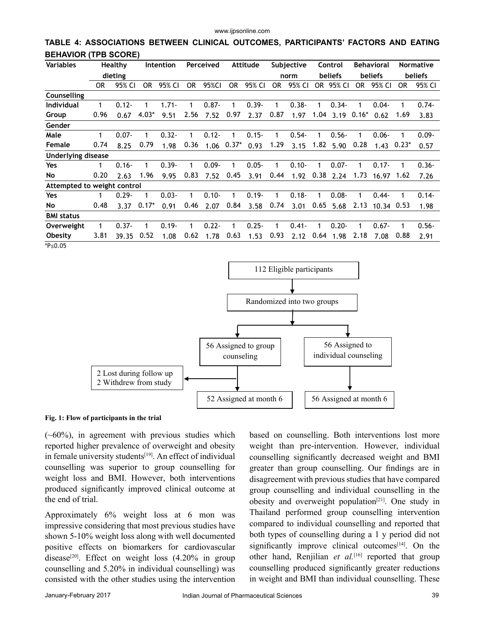**TABLE 4: ASSOCIATIONS BETWEEN CLINICAL OUTCOMES, PARTICIPANTS' FACTORS AND EATING BEHAVIOR (TPB SCORE)**

| <b>Variables</b><br>Healthy |      | Intention |         | Perceived |           |          | Attitude |          | Subjective |          | Control |          | <b>Behavioral</b> |          | <b>Normative</b> |          |
|-----------------------------|------|-----------|---------|-----------|-----------|----------|----------|----------|------------|----------|---------|----------|-------------------|----------|------------------|----------|
| dieting                     |      |           |         |           |           |          |          |          | norm       |          | beliefs |          | beliefs           |          | beliefs          |          |
|                             | 0R   | 95% CI    | OR.     | 95% CI    | <b>OR</b> | 95%CI    | 0R       | 95% CI   | 0R         | 95% CI   | OR.     | 95% CI   | OR.               | 95% CI   | <b>OR</b>        | 95% CI   |
| Counselling                 |      |           |         |           |           |          |          |          |            |          |         |          |                   |          |                  |          |
| <b>Individual</b>           | 1    | $0.12 -$  |         | $1.71 -$  | 1         | $0.87 -$ | 1        | $0.39 -$ | 1          | $0.38 -$ | 1       | $0.34 -$ | 1                 | $0.04 -$ | 1                | $0.74 -$ |
| Group                       | 0.96 | 0.67      | $4.03*$ | 9.51      | 2.56      | 7.52     | 0.97     | 2.37     | 0.87       | 1.97     | 1.04    | 3.19     | $0.16*$           | 0.62     | 1.69             | 3.83     |
| Gender                      |      |           |         |           |           |          |          |          |            |          |         |          |                   |          |                  |          |
| Male                        | 1    | $0.07 -$  |         | $0.32 -$  |           | $0.12 -$ | 1        | $0.15 -$ | 1          | $0.54 -$ |         | $0.56 -$ | 1                 | $0.06 -$ | 1                | $0.09 -$ |
| Female                      | 0.74 | 8.25      | 0.79    | 1.98      | 0.36      | 1.06     | $0.37*$  | 0.93     | 1.29       | 3.15     | 1.82    | 5.90     | 0.28              | 1.43     | $0.23*$          | 0.57     |
| <b>Underlying disease</b>   |      |           |         |           |           |          |          |          |            |          |         |          |                   |          |                  |          |
| Yes                         | 1    | $0.16 -$  |         | $0.39 -$  | 1         | $0.09 -$ | 1        | $0.05 -$ | 1          | $0.10 -$ |         | $0.07 -$ | 1                 | $0.17 -$ | 1                | $0.36 -$ |
| No.                         | 0.20 | 2.63      | 1.96    | 9.95      | 0.83      | 7.52     | 0.45     | 3.91     | 0.44       | 1.92     | 0.38    | 2.24     | 1.73              | 16.97    | 1.62             | 7.26     |
| Attempted to weight control |      |           |         |           |           |          |          |          |            |          |         |          |                   |          |                  |          |
| Yes                         | 1    | $0.29 -$  | 1       | $0.03 -$  | 1         | $0.10 -$ | 1        | $0.19 -$ | 1          | $0.18 -$ | 1       | $0.08 -$ | 1                 | $0.44 -$ | 1                | $0.14 -$ |
| No                          | 0.48 | 3.37      | $0.17*$ | 0.91      | 0.46      | 2.07     | 0.84     | 3.58     | 0.74       | 3.01     | 0.65    | 5.68     | 2.13              | 10.34    | 0.53             | 1.98     |
| <b>BMI</b> status           |      |           |         |           |           |          |          |          |            |          |         |          |                   |          |                  |          |
| Overweight                  | 1    | $0.37 -$  | 1       | $0.19 -$  | 1         | $0.22 -$ | 1        | $0.25 -$ | 1          | $0.41 -$ |         | $0.20 -$ | 1                 | $0.67 -$ |                  | $0.56 -$ |
| <b>Obesity</b>              | 3.81 | 39.35     | 0.52    | 1.08      | 0.62      | 1.78     | 0.63     | 1.53     | 0.93       | 2.12     | 0.64    | 1.98     | 2.18              | 7.08     | 0.88             | 2.91     |
| *P≤0.05                     |      |           |         |           |           |          |          |          |            |          |         |          |                   |          |                  |          |



**Fig. 1: Flow of participants in the trial**

 $(-60\%)$ , in agreement with previous studies which reported higher prevalence of overweight and obesity in female university students $[19]$ . An effect of individual counselling was superior to group counselling for weight loss and BMI. However, both interventions produced significantly improved clinical outcome at the end of trial.

Approximately 6% weight loss at 6 mon was impressive considering that most previous studies have shown 5-10% weight loss along with well documented positive effects on biomarkers for cardiovascular disease<sup>[20]</sup>. Effect on weight loss  $(4.20\%$  in group counselling and 5.20% in individual counselling) was consisted with the other studies using the intervention

based on counselling. Both interventions lost more weight than pre-intervention. However, individual counselling significantly decreased weight and BMI greater than group counselling. Our findings are in disagreement with previous studies that have compared group counselling and individual counselling in the obesity and overweight population<sup>[21]</sup>. One study in Thailand performed group counselling intervention compared to individual counselling and reported that both types of counselling during a 1 y period did not significantly improve clinical outcomes $[14]$ . On the other hand, Renjilian et al.<sup>[16]</sup> reported that group counselling produced significantly greater reductions in weight and BMI than individual counselling. These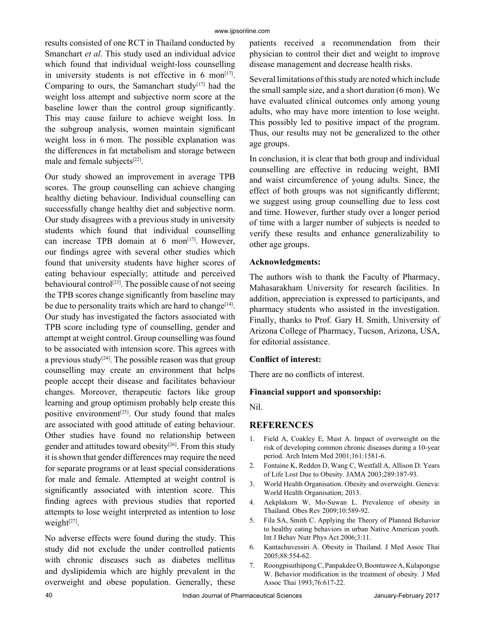results consisted of one RCT in Thailand conducted by Smanchart *et al*. This study used an individual advice which found that individual weight-loss counselling in university students is not effective in  $6 \text{ mon}^{[17]}$ . Comparing to ours, the Samanchart study<sup>[17]</sup> had the weight loss attempt and subjective norm score at the baseline lower than the control group significantly. This may cause failure to achieve weight loss. In the subgroup analysis, women maintain significant weight loss in 6 mon. The possible explanation was the differences in fat metabolism and storage between male and female subjects<sup>[22]</sup>.

Our study showed an improvement in average TPB scores. The group counselling can achieve changing healthy dieting behaviour. Individual counselling can successfully change healthy diet and subjective norm. Our study disagrees with a previous study in university students which found that individual counselling can increase TPB domain at  $6 \text{ mon}^{[17]}$ . However, our findings agree with several other studies which found that university students have higher scores of eating behaviour especially; attitude and perceived behavioural control<sup>[23]</sup>. The possible cause of not seeing the TPB scores change significantly from baseline may be due to personality traits which are hard to change<sup>[14]</sup>. Our study has investigated the factors associated with TPB score including type of counselling, gender and attempt at weight control. Group counselling was found to be associated with intension score. This agrees with a previous study<sup>[24]</sup>. The possible reason was that group counselling may create an environment that helps people accept their disease and facilitates behaviour changes. Moreover, therapeutic factors like group learning and group optimism probably help create this positive environment<sup>[25]</sup>. Our study found that males are associated with good attitude of eating behaviour. Other studies have found no relationship between gender and attitudes toward obesity<sup>[26]</sup>. From this study it is shown that gender differences may require the need for separate programs or at least special considerations for male and female. Attempted at weight control is significantly associated with intention score. This finding agrees with previous studies that reported attempts to lose weight interpreted as intention to lose weight $[27]$ .

No adverse effects were found during the study. This study did not exclude the under controlled patients with chronic diseases such as diabetes mellitus and dyslipidemia which are highly prevalent in the overweight and obese population. Generally, these

patients received a recommendation from their physician to control their diet and weight to improve disease management and decrease health risks.

Several limitations of this study are noted which include the small sample size, and a short duration (6 mon). We have evaluated clinical outcomes only among young adults, who may have more intention to lose weight. This possibly led to positive impact of the program. Thus, our results may not be generalized to the other age groups.

In conclusion, it is clear that both group and individual counselling are effective in reducing weight, BMI and waist circumference of young adults. Since, the effect of both groups was not significantly different; we suggest using group counselling due to less cost and time. However, further study over a longer period of time with a larger number of subjects is needed to verify these results and enhance generalizability to other age groups.

#### **Acknowledgments:**

The authors wish to thank the Faculty of Pharmacy, Mahasarakham University for research facilities. In addition, appreciation is expressed to participants, and pharmacy students who assisted in the investigation. Finally, thanks to Prof. Gary H. Smith, University of Arizona College of Pharmacy, Tucson, Arizona, USA, for editorial assistance.

#### **Conflict of interest:**

There are no conflicts of interest.

## **Financial support and sponsorship:**

Nil.

## **REFERENCES**

- Field A, Coakley E, Must A. Impact of overweight on the risk of developing common chronic diseases during a 10-year period. Arch Intern Med 2001;161:1581-6.
- 2. Fontaine K, Redden D, Wang C, Westfall A, Allison D. Years of Life Lost Due to Obesity. JAMA 2003;289:187-93.
- 3. World Health Organisation. Obesity and overweight. Geneva: World Health Organisation; 2013.
- 4. Aekplakorn W, Mo-Suwan L. Prevalence of obesity in Thailand. Obes Rev 2009;10:589-92.
- 5. Fila SA, Smith C. Applying the Theory of Planned Behavior to healthy eating behaviors in urban Native American youth. Int J Behav Nutr Phys Act 2006;3:11.
- 6. Kantachuvessiri A. Obesity in Thailand. J Med Assoc Thai 2005;88:554-62.
- 7. Roongpisuthipong C, Panpakdee O, Boontawee A, Kulapongse W. Behavior modification in the treatment of obesity. J Med Assoc Thai 1993;76:617-22.